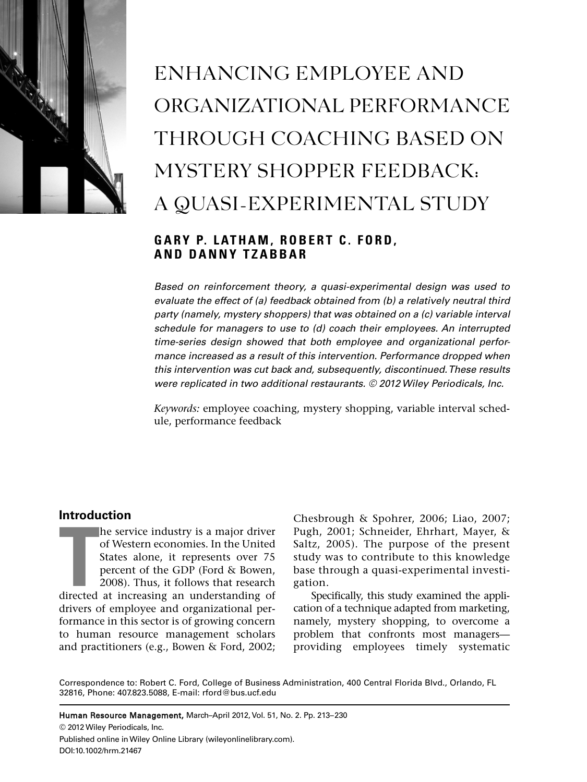

# ENHANCING EMPLOYEE AND ORGANIZATIONAL PERFORMANCE THROUGH COACHING BASED ON MYSTERY SHOPPER FEEDBACK: A QUASI-EXPERIMENTAL STUDY

# GARY P. LATHAM, ROBERT C. FORD, **AND DANNY TZABBAR**

Based on reinforcement theory, a quasi-experimental design was used to evaluate the effect of (a) feedback obtained from (b) a relatively neutral third party (namely, mystery shoppers) that was obtained on a (c) variable interval schedule for managers to use to (d) coach their employees. An interrupted time-series design showed that both employee and organizational performance increased as a result of this intervention. Performance dropped when this intervention was cut back and, subsequently, discontinued. These results were replicated in two additional restaurants. © 2012 Wiley Periodicals, Inc.

*Keywords:* employee coaching, mystery shopping, variable interval schedule, performance feedback

## **Introduction**

The service industry is a major driver<br>
of Western economies. In the United<br>
States alone, it represents over 75<br>
percent of the GDP (Ford & Bowen,<br>
2008). Thus, it follows that research<br>
directed at increasing an understa he service industry is a major driver of Western economies. In the United States alone, it represents over 75 percent of the GDP (Ford & Bowen, 2008). Thus, it follows that research

drivers of employee and organizational performance in this sector is of growing concern to human resource management scholars and practitioners (e.g., Bowen & Ford, 2002;

Chesbrough & Spohrer, 2006; Liao, 2007; Pugh, 2001; Schneider, Ehrhart, Mayer, & Saltz, 2005). The purpose of the present study was to contribute to this knowledge base through a quasi-experimental investigation.

Specifically, this study examined the application of a technique adapted from marketing, namely, mystery shopping, to overcome a problem that confronts most managers providing employees timely systematic

Correspondence to: Robert C. Ford, College of Business Administration, 400 Central Florida Blvd., Orlando, FL 32816, Phone: 407.823.5088, E-mail: rford@bus.ucf.edu

Human Resource Management, March–April 2012, Vol. 51, No. 2. Pp. 213-230 © 2012 Wiley Periodicals, Inc. Published online in Wiley Online Library (wileyonlinelibrary.com). DOI:10.1002/hrm.21467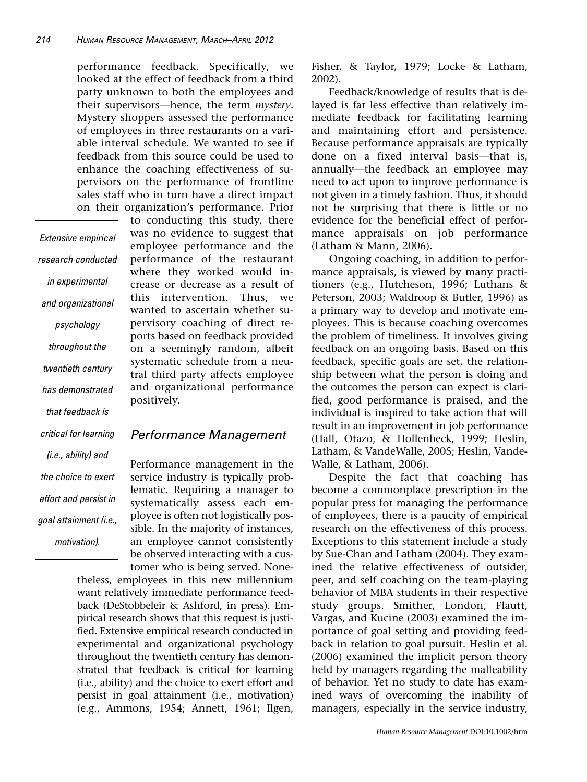performance feedback. Specifically, we looked at the effect of feedback from a third party unknown to both the employees and their supervisors—hence, the term *mystery*. Mystery shoppers assessed the performance of employees in three restaurants on a variable interval schedule. We wanted to see if feedback from this source could be used to enhance the coaching effectiveness of supervisors on the performance of frontline sales staff who in turn have a direct impact on their organization's performance. Prior

Extensive empirical research conducted in experimental and organizational psychology throughout the twentieth century has demonstrated that feedback is critical for learning (i.e., ability) and the choice to exert effort and persist in goal attainment (i.e., motivation).

to conducting this study, there was no evidence to suggest that employee performance and the performance of the restaurant where they worked would increase or decrease as a result of this intervention. Thus, we wanted to ascertain whether supervisory coaching of direct reports based on feedback provided on a seemingly random, albeit systematic schedule from a neutral third party affects employee and organizational performance positively.

#### Performance Management

Performance management in the service industry is typically problematic. Requiring a manager to systematically assess each employee is often not logistically possible. In the majority of instances, an employee cannot consistently be observed interacting with a customer who is being served. None-

theless, employees in this new millennium want relatively immediate performance feedback (DeStobbeleir & Ashford, in press). Empirical research shows that this request is justified. Extensive empirical research conducted in experimental and organizational psychology throughout the twentieth century has demonstrated that feedback is critical for learning (i.e., ability) and the choice to exert effort and persist in goal attainment (i.e., motivation) (e.g., Ammons, 1954; Annett, 1961; Ilgen,

Fisher, & Taylor, 1979; Locke & Latham, 2002).

Feedback/knowledge of results that is delayed is far less effective than relatively immediate feedback for facilitating learning and maintaining effort and persistence. Because performance appraisals are typically done on a fixed interval basis—that is, annually—the feedback an employee may need to act upon to improve performance is not given in a timely fashion. Thus, it should not be surprising that there is little or no evidence for the beneficial effect of performance appraisals on job performance (Latham & Mann, 2006).

Ongoing coaching, in addition to performance appraisals, is viewed by many practitioners (e.g., Hutcheson, 1996; Luthans & Peterson, 2003; Waldroop & Butler, 1996) as a primary way to develop and motivate employees. This is because coaching overcomes the problem of timeliness. It involves giving feedback on an ongoing basis. Based on this feedback, specific goals are set, the relationship between what the person is doing and the outcomes the person can expect is clarified, good performance is praised, and the individual is inspired to take action that will result in an improvement in job performance (Hall, Otazo, & Hollenbeck, 1999; Heslin, Latham, & VandeWalle, 2005; Heslin, Vande-Walle, & Latham, 2006).

Despite the fact that coaching has become a commonplace prescription in the popular press for managing the performance of employees, there is a paucity of empirical research on the effectiveness of this process. Exceptions to this statement include a study by Sue-Chan and Latham (2004). They examined the relative effectiveness of outsider, peer, and self coaching on the team-playing behavior of MBA students in their respective study groups. Smither, London, Flautt, Vargas, and Kucine (2003) examined the importance of goal setting and providing feedback in relation to goal pursuit. Heslin et al. (2006) examined the implicit person theory held by managers regarding the malleability of behavior. Yet no study to date has examined ways of overcoming the inability of managers, especially in the service industry,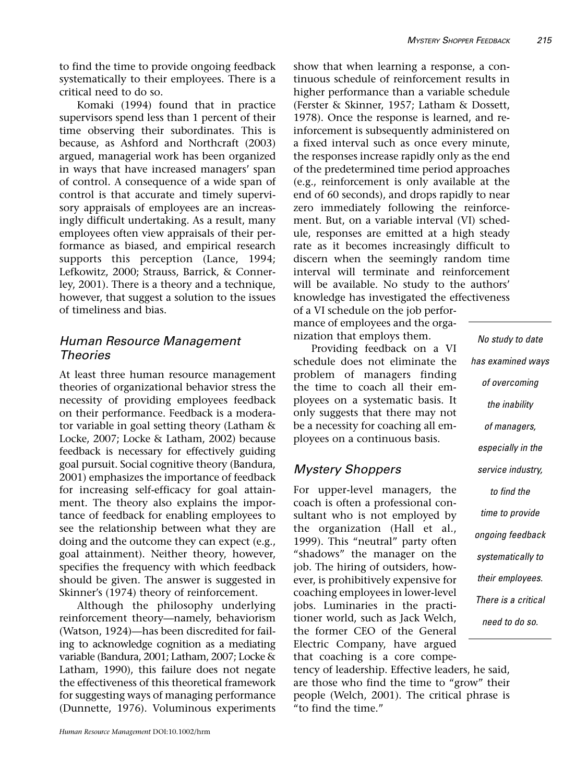to find the time to provide ongoing feedback systematically to their employees. There is a critical need to do so.

Komaki (1994) found that in practice supervisors spend less than 1 percent of their time observing their subordinates. This is because, as Ashford and Northcraft (2003) argued, managerial work has been organized in ways that have increased managers' span of control. A consequence of a wide span of control is that accurate and timely supervisory appraisals of employees are an increasingly difficult undertaking. As a result, many employees often view appraisals of their performance as biased, and empirical research supports this perception (Lance, 1994; Lefkowitz, 2000; Strauss, Barrick, & Connerley, 2001). There is a theory and a technique, however, that suggest a solution to the issues of timeliness and bias.

## Human Resource Management Theories

At least three human resource management theories of organizational behavior stress the necessity of providing employees feedback on their performance. Feedback is a moderator variable in goal setting theory (Latham & Locke, 2007; Locke & Latham, 2002) because feedback is necessary for effectively guiding goal pursuit. Social cognitive theory (Bandura, 2001) emphasizes the importance of feedback for increasing self-efficacy for goal attainment. The theory also explains the importance of feedback for enabling employees to see the relationship between what they are doing and the outcome they can expect (e.g., goal attainment). Neither theory, however, specifies the frequency with which feedback should be given. The answer is suggested in Skinner's (1974) theory of reinforcement.

Although the philosophy underlying reinforcement theory—namely, behaviorism (Watson, 1924)—has been discredited for failing to acknowledge cognition as a mediating variable (Bandura, 2001; Latham, 2007; Locke & Latham, 1990), this failure does not negate the effectiveness of this theoretical framework for suggesting ways of managing performance (Dunnette, 1976). Voluminous experiments

show that when learning a response, a continuous schedule of reinforcement results in higher performance than a variable schedule (Ferster & Skinner, 1957; Latham & Dossett, 1978). Once the response is learned, and reinforcement is subsequently administered on a fixed interval such as once every minute, the responses increase rapidly only as the end of the predetermined time period approaches (e.g., reinforcement is only available at the end of 60 seconds), and drops rapidly to near zero immediately following the reinforcement. But, on a variable interval (VI) schedule, responses are emitted at a high steady rate as it becomes increasingly difficult to discern when the seemingly random time interval will terminate and reinforcement will be available. No study to the authors' knowledge has investigated the effectiveness

of a VI schedule on the job performance of employees and the organization that employs them.

Providing feedback on a VI schedule does not eliminate the problem of managers finding the time to coach all their employees on a systematic basis. It only suggests that there may not be a necessity for coaching all employees on a continuous basis.

## Mystery Shoppers

For upper-level managers, the coach is often a professional consultant who is not employed by the organization (Hall et al., 1999). This "neutral" party often "shadows" the manager on the job. The hiring of outsiders, however, is prohibitively expensive for coaching employees in lower-level jobs. Luminaries in the practitioner world, such as Jack Welch, the former CEO of the General Electric Company, have argued that coaching is a core compehas examined ways of overcoming the inability of managers, especially in the service industry, to find the time to provide ongoing feedback systematically to their employees. There is a critical need to do so.

No study to date

tency of leadership. Effective leaders, he said, are those who find the time to "grow" their people (Welch, 2001). The critical phrase is "to find the time."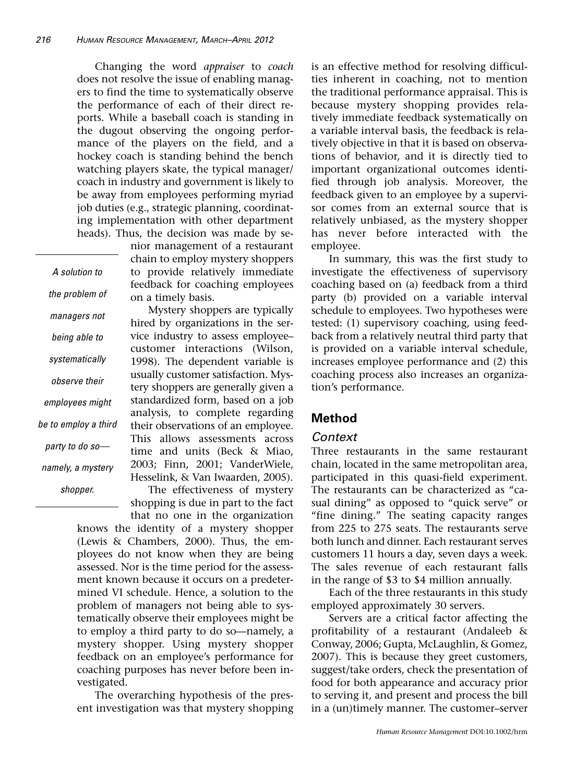Changing the word *appraiser* to *coach* does not resolve the issue of enabling managers to find the time to systematically observe the performance of each of their direct reports. While a baseball coach is standing in the dugout observing the ongoing performance of the players on the field, and a hockey coach is standing behind the bench watching players skate, the typical manager/ coach in industry and government is likely to be away from employees performing myriad job duties (e.g., strategic planning, coordinating implementation with other department heads). Thus, the decision was made by se-

A solution to the problem of managers not being able to systematically observe their employees might be to employ a third party to do so namely, a mystery shopper.

nior management of a restaurant chain to employ mystery shoppers to provide relatively immediate feedback for coaching employees on a timely basis.

Mystery shoppers are typically hired by organizations in the service industry to assess employee– customer interactions (Wilson, 1998). The dependent variable is usually customer satisfaction. Mystery shoppers are generally given a standardized form, based on a job analysis, to complete regarding their observations of an employee. This allows assessments across time and units (Beck & Miao, 2003; Finn, 2001; VanderWiele, Hesselink, & Van Iwaarden, 2005).

The effectiveness of mystery shopping is due in part to the fact that no one in the organization knows the identity of a mystery shopper (Lewis & Chambers, 2000). Thus, the employees do not know when they are being assessed. Nor is the time period for the assessment known because it occurs on a predetermined VI schedule. Hence, a solution to the problem of managers not being able to systematically observe their employees might be to employ a third party to do so—namely, a mystery shopper. Using mystery shopper feedback on an employee's performance for coaching purposes has never before been investigated.

The overarching hypothesis of the present investigation was that mystery shopping is an effective method for resolving difficulties inherent in coaching, not to mention the traditional performance appraisal. This is because mystery shopping provides relatively immediate feedback systematically on a variable interval basis, the feedback is relatively objective in that it is based on observations of behavior, and it is directly tied to important organizational outcomes identified through job analysis. Moreover, the feedback given to an employee by a supervisor comes from an external source that is relatively unbiased, as the mystery shopper has never before interacted with the employee.

In summary, this was the first study to investigate the effectiveness of supervisory coaching based on (a) feedback from a third party (b) provided on a variable interval schedule to employees. Two hypotheses were tested: (1) supervisory coaching, using feedback from a relatively neutral third party that is provided on a variable interval schedule, increases employee performance and (2) this coaching process also increases an organization's performance.

#### **Method**

#### Context

Three restaurants in the same restaurant chain, located in the same metropolitan area, participated in this quasi-field experiment. The restaurants can be characterized as "casual dining" as opposed to "quick serve" or "fine dining." The seating capacity ranges from 225 to 275 seats. The restaurants serve both lunch and dinner. Each restaurant serves customers 11 hours a day, seven days a week. The sales revenue of each restaurant falls in the range of \$3 to \$4 million annually.

Each of the three restaurants in this study employed approximately 30 servers.

Servers are a critical factor affecting the profitability of a restaurant (Andaleeb & Conway, 2006; Gupta, McLaughlin, & Gomez, 2007). This is because they greet customers, suggest/take orders, check the presentation of food for both appearance and accuracy prior to serving it, and present and process the bill in a (un)timely manner. The customer–server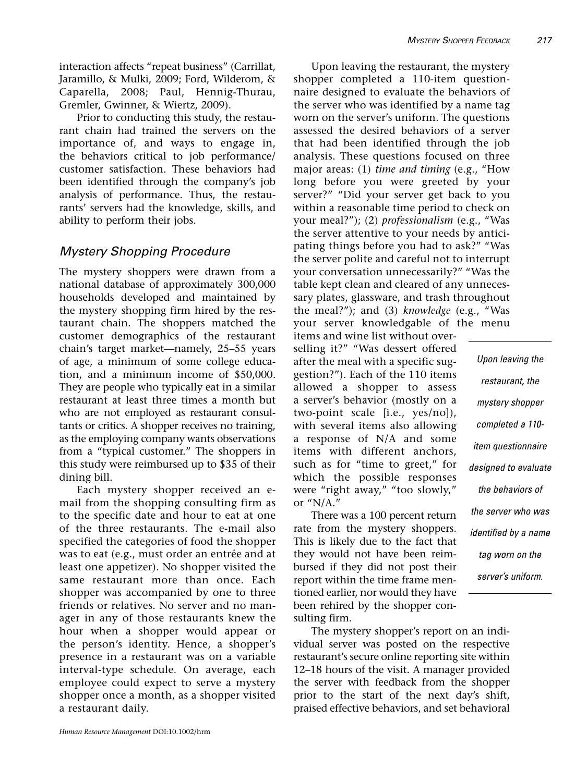interaction affects "repeat business" (Carrillat, Jaramillo, & Mulki, 2009; Ford, Wilderom, & Caparella, 2008; Paul, Hennig-Thurau, Gremler, Gwinner, & Wiertz, 2009).

Prior to conducting this study, the restaurant chain had trained the servers on the importance of, and ways to engage in, the behaviors critical to job performance/ customer satisfaction. These behaviors had been identified through the company's job analysis of performance. Thus, the restaurants' servers had the knowledge, skills, and ability to perform their jobs.

# Mystery Shopping Procedure

The mystery shoppers were drawn from a national database of approximately 300,000 households developed and maintained by the mystery shopping firm hired by the restaurant chain. The shoppers matched the customer demographics of the restaurant chain's target market—namely, 25–55 years of age, a minimum of some college education, and a minimum income of \$50,000. They are people who typically eat in a similar restaurant at least three times a month but who are not employed as restaurant consultants or critics. A shopper receives no training, as the employing company wants observations from a "typical customer." The shoppers in this study were reimbursed up to \$35 of their dining bill.

Each mystery shopper received an email from the shopping consulting firm as to the specific date and hour to eat at one of the three restaurants. The e-mail also specified the categories of food the shopper was to eat (e.g., must order an entrée and at least one appetizer). No shopper visited the same restaurant more than once. Each shopper was accompanied by one to three friends or relatives. No server and no manager in any of those restaurants knew the hour when a shopper would appear or the person's identity. Hence, a shopper's presence in a restaurant was on a variable interval-type schedule. On average, each employee could expect to serve a mystery shopper once a month, as a shopper visited a restaurant daily.

Upon leaving the restaurant, the mystery shopper completed a 110-item questionnaire designed to evaluate the behaviors of the server who was identified by a name tag worn on the server's uniform. The questions assessed the desired behaviors of a server that had been identified through the job analysis. These questions focused on three major areas: (1) *time and timing* (e.g., "How long before you were greeted by your server?" "Did your server get back to you within a reasonable time period to check on your meal?"); (2) *professionalism* (e.g., "Was the server attentive to your needs by anticipating things before you had to ask?" "Was the server polite and careful not to interrupt your conversation unnecessarily?" "Was the table kept clean and cleared of any unnecessary plates, glassware, and trash throughout the meal?"); and (3) *knowledge* (e.g., "Was your server knowledgable of the menu

items and wine list without overselling it?" "Was dessert offered after the meal with a specific suggestion?"). Each of the 110 items allowed a shopper to assess a server's behavior (mostly on a two-point scale [i.e., yes/no]), with several items also allowing a response of N/A and some items with different anchors, such as for "time to greet," for which the possible responses were "right away," "too slowly," or " $N/A$ ."

There was a 100 percent return rate from the mystery shoppers. This is likely due to the fact that they would not have been reimbursed if they did not post their report within the time frame mentioned earlier, nor would they have been rehired by the shopper consulting firm.

The mystery shopper's report on an individual server was posted on the respective restaurant's secure online reporting site within 12–18 hours of the visit. A manager provided the server with feedback from the shopper prior to the start of the next day's shift, praised effective behaviors, and set behavioral

Upon leaving the restaurant, the mystery shopper completed a 110 item questionnaire designed to evaluate the behaviors of the server who was identified by a name tag worn on the server's uniform.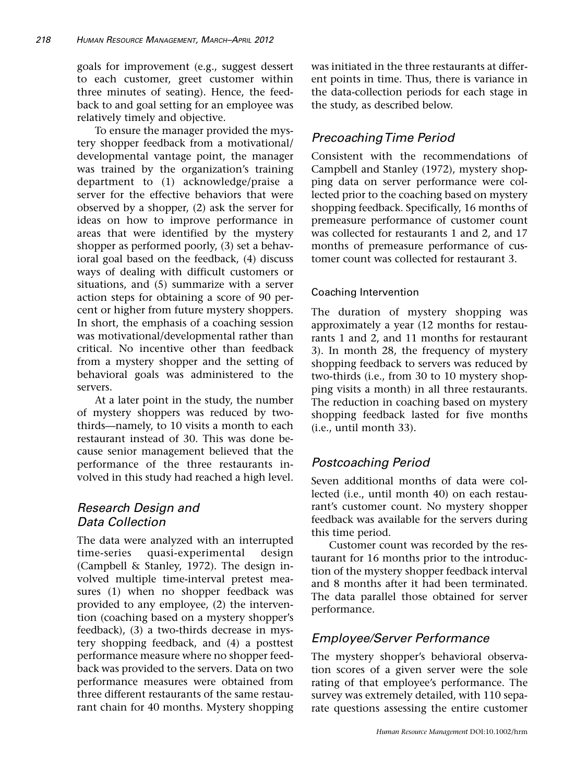goals for improvement (e.g., suggest dessert to each customer, greet customer within three minutes of seating). Hence, the feedback to and goal setting for an employee was relatively timely and objective.

To ensure the manager provided the mystery shopper feedback from a motivational/ developmental vantage point, the manager was trained by the organization's training department to (1) acknowledge/praise a server for the effective behaviors that were observed by a shopper, (2) ask the server for ideas on how to improve performance in areas that were identified by the mystery shopper as performed poorly, (3) set a behavioral goal based on the feedback, (4) discuss ways of dealing with difficult customers or situations, and (5) summarize with a server action steps for obtaining a score of 90 percent or higher from future mystery shoppers. In short, the emphasis of a coaching session was motivational/developmental rather than critical. No incentive other than feedback from a mystery shopper and the setting of behavioral goals was administered to the servers.

At a later point in the study, the number of mystery shoppers was reduced by twothirds—namely, to 10 visits a month to each restaurant instead of 30. This was done because senior management believed that the performance of the three restaurants involved in this study had reached a high level.

# Research Design and Data Collection

The data were analyzed with an interrupted time-series quasi-experimental design (Campbell & Stanley, 1972). The design involved multiple time-interval pretest measures (1) when no shopper feedback was provided to any employee, (2) the intervention (coaching based on a mystery shopper's feedback), (3) a two-thirds decrease in mystery shopping feedback, and (4) a posttest performance measure where no shopper feedback was provided to the servers. Data on two performance measures were obtained from three different restaurants of the same restaurant chain for 40 months. Mystery shopping was initiated in the three restaurants at different points in time. Thus, there is variance in the data-collection periods for each stage in the study, as described below.

# Precoaching Time Period

Consistent with the recommendations of Campbell and Stanley (1972), mystery shopping data on server performance were collected prior to the coaching based on mystery shopping feedback. Specifically, 16 months of premeasure performance of customer count was collected for restaurants 1 and 2, and 17 months of premeasure performance of customer count was collected for restaurant 3.

## Coaching Intervention

The duration of mystery shopping was approximately a year (12 months for restaurants 1 and 2, and 11 months for restaurant 3). In month 28, the frequency of mystery shopping feedback to servers was reduced by two-thirds (i.e., from 30 to 10 mystery shopping visits a month) in all three restaurants. The reduction in coaching based on mystery shopping feedback lasted for five months (i.e., until month 33).

# Postcoaching Period

Seven additional months of data were collected (i.e., until month 40) on each restaurant's customer count. No mystery shopper feedback was available for the servers during this time period.

Customer count was recorded by the restaurant for 16 months prior to the introduction of the mystery shopper feedback interval and 8 months after it had been terminated. The data parallel those obtained for server performance.

# Employee/Server Performance

The mystery shopper's behavioral observation scores of a given server were the sole rating of that employee's performance. The survey was extremely detailed, with 110 separate questions assessing the entire customer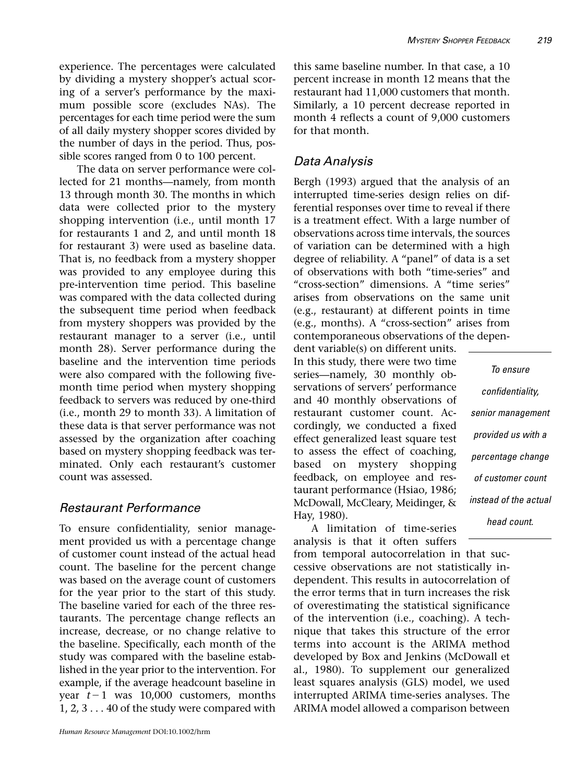experience. The percentages were calculated by dividing a mystery shopper's actual scoring of a server's performance by the maximum possible score (excludes NAs). The percentages for each time period were the sum of all daily mystery shopper scores divided by the number of days in the period. Thus, possible scores ranged from 0 to 100 percent.

The data on server performance were collected for 21 months—namely, from month 13 through month 30. The months in which data were collected prior to the mystery shopping intervention (i.e., until month 17 for restaurants 1 and 2, and until month 18 for restaurant 3) were used as baseline data. That is, no feedback from a mystery shopper was provided to any employee during this pre-intervention time period. This baseline was compared with the data collected during the subsequent time period when feedback from mystery shoppers was provided by the restaurant manager to a server (i.e., until month 28). Server performance during the baseline and the intervention time periods were also compared with the following fivemonth time period when mystery shopping feedback to servers was reduced by one-third (i.e., month 29 to month 33). A limitation of these data is that server performance was not assessed by the organization after coaching based on mystery shopping feedback was terminated. Only each restaurant's customer count was assessed.

#### Restaurant Performance

To ensure confidentiality, senior management provided us with a percentage change of customer count instead of the actual head count. The baseline for the percent change was based on the average count of customers for the year prior to the start of this study. The baseline varied for each of the three restaurants. The percentage change reflects an increase, decrease, or no change relative to the baseline. Specifically, each month of the study was compared with the baseline established in the year prior to the intervention. For example, if the average headcount baseline in year  $t-1$  was 10,000 customers, months 1, 2, 3 . . . 40 of the study were compared with this same baseline number. In that case, a 10 percent increase in month 12 means that the restaurant had 11,000 customers that month. Similarly, a 10 percent decrease reported in month 4 reflects a count of 9,000 customers for that month.

# Data Analysis

Bergh (1993) argued that the analysis of an interrupted time-series design relies on differential responses over time to reveal if there is a treatment effect. With a large number of observations across time intervals, the sources of variation can be determined with a high degree of reliability. A "panel" of data is a set of observations with both "time-series" and "cross-section" dimensions. A "time series" arises from observations on the same unit (e.g., restaurant) at different points in time (e.g., months). A "cross-section" arises from contemporaneous observations of the depen-

dent variable(s) on different units. In this study, there were two time series—namely, 30 monthly observations of servers' performance and 40 monthly observations of restaurant customer count. Accordingly, we conducted a fixed effect generalized least square test to assess the effect of coaching, based on mystery shopping feedback, on employee and restaurant performance (Hsiao, 1986; McDowall, McCleary, Meidinger, & Hay, 1980).

A limitation of time-series analysis is that it often suffers from temporal autocorrelation in that successive observations are not statistically independent. This results in autocorrelation of the error terms that in turn increases the risk of overestimating the statistical significance of the intervention (i.e., coaching). A technique that takes this structure of the error terms into account is the ARIMA method developed by Box and Jenkins (McDowall et al., 1980). To supplement our generalized least squares analysis (GLS) model, we used interrupted ARIMA time-series analyses. The ARIMA model allowed a comparison between

To ensure confidentiality, senior management provided us with a percentage change of customer count instead of the actual head count.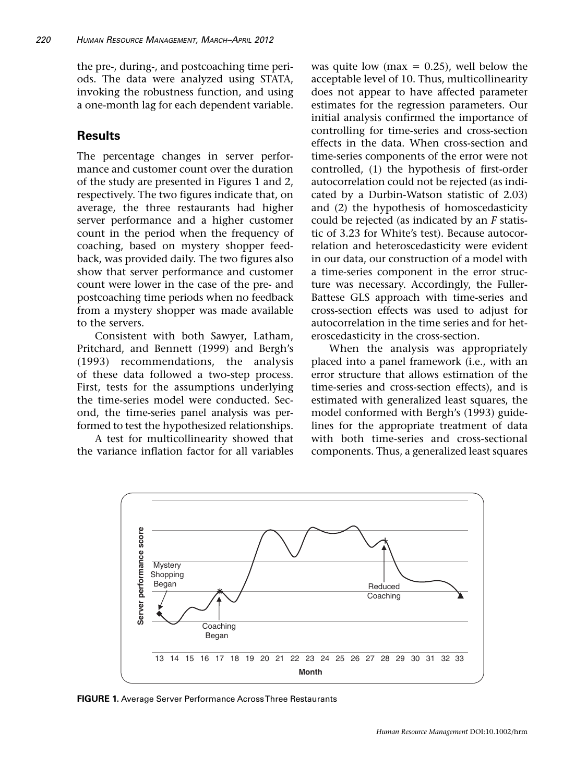the pre-, during-, and postcoaching time periods. The data were analyzed using STATA, invoking the robustness function, and using a one-month lag for each dependent variable.

## **Results**

The percentage changes in server performance and customer count over the duration of the study are presented in Figures 1 and 2, respectively. The two figures indicate that, on average, the three restaurants had higher server performance and a higher customer count in the period when the frequency of coaching, based on mystery shopper feedback, was provided daily. The two figures also show that server performance and customer count were lower in the case of the pre- and postcoaching time periods when no feedback from a mystery shopper was made available to the servers.

Consistent with both Sawyer, Latham, Pritchard, and Bennett (1999) and Bergh's (1993) recommendations, the analysis of these data followed a two-step process. First, tests for the assumptions underlying the time-series model were conducted. Second, the time-series panel analysis was performed to test the hypothesized relationships.

A test for multicollinearity showed that the variance inflation factor for all variables

was quite low ( $max = 0.25$ ), well below the acceptable level of 10. Thus, multicollinearity does not appear to have affected parameter estimates for the regression parameters. Our initial analysis confirmed the importance of controlling for time-series and cross-section effects in the data. When cross-section and time-series components of the error were not controlled, (1) the hypothesis of first-order autocorrelation could not be rejected (as indicated by a Durbin-Watson statistic of 2.03) and (2) the hypothesis of homoscedasticity could be rejected (as indicated by an *F* statistic of 3.23 for White's test). Because autocorrelation and heteroscedasticity were evident in our data, our construction of a model with a time-series component in the error structure was necessary. Accordingly, the Fuller-Battese GLS approach with time-series and cross-section effects was used to adjust for autocorrelation in the time series and for heteroscedasticity in the cross-section.

When the analysis was appropriately placed into a panel framework (i.e., with an error structure that allows estimation of the time-series and cross-section effects), and is estimated with generalized least squares, the model conformed with Bergh's (1993) guidelines for the appropriate treatment of data with both time-series and cross-sectional components. Thus, a generalized least squares



**FIGURE 1.** Average Server Performance Across Three Restaurants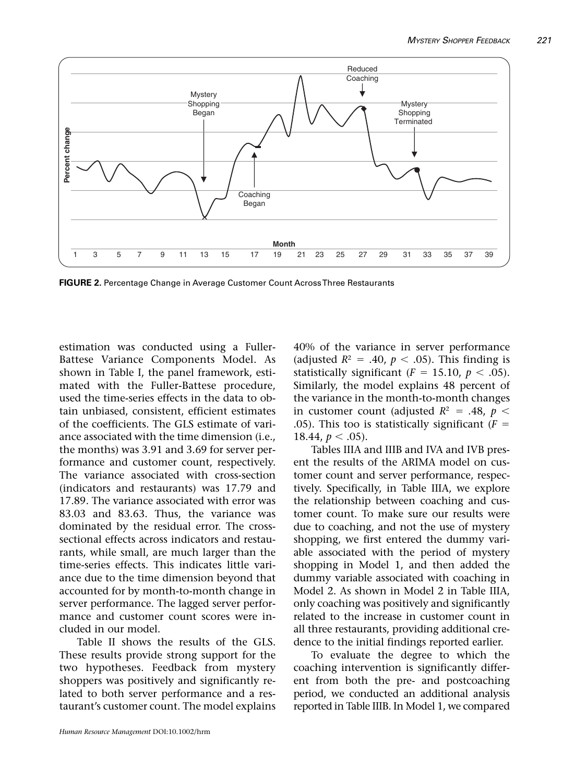

**FIGURE 2.** Percentage Change in Average Customer Count Across Three Restaurants

estimation was conducted using a Fuller-Battese Variance Components Model. As shown in Table I, the panel framework, estimated with the Fuller-Battese procedure, used the time-series effects in the data to obtain unbiased, consistent, efficient estimates of the coefficients. The GLS estimate of variance associated with the time dimension (i.e., the months) was 3.91 and 3.69 for server performance and customer count, respectively. The variance associated with cross-section (indicators and restaurants) was 17.79 and 17.89. The variance associated with error was 83.03 and 83.63. Thus, the variance was dominated by the residual error. The crosssectional effects across indicators and restaurants, while small, are much larger than the time-series effects. This indicates little variance due to the time dimension beyond that accounted for by month-to-month change in server performance. The lagged server performance and customer count scores were included in our model.

Table II shows the results of the GLS. These results provide strong support for the two hypotheses. Feedback from mystery shoppers was positively and significantly related to both server performance and a restaurant's customer count. The model explains

*Human Resource Management* DOI:10.1002/hrm

40% of the variance in server performance (adjusted  $R^2 = .40$ ,  $p < .05$ ). This finding is statistically significant  $(F = 15.10, p < .05)$ . Similarly, the model explains 48 percent of the variance in the month-to-month changes in customer count (adjusted  $R^2 = .48$ ,  $p <$ .05). This too is statistically significant  $(F =$ 18.44,  $p < .05$ ).

Tables IIIA and IIIB and IVA and IVB present the results of the ARIMA model on customer count and server performance, respectively. Specifically, in Table IIIA, we explore the relationship between coaching and customer count. To make sure our results were due to coaching, and not the use of mystery shopping, we first entered the dummy variable associated with the period of mystery shopping in Model 1, and then added the dummy variable associated with coaching in Model 2. As shown in Model 2 in Table IIIA, only coaching was positively and significantly related to the increase in customer count in all three restaurants, providing additional credence to the initial findings reported earlier.

To evaluate the degree to which the coaching intervention is significantly different from both the pre- and postcoaching period, we conducted an additional analysis reported in Table IIIB. In Model 1, we compared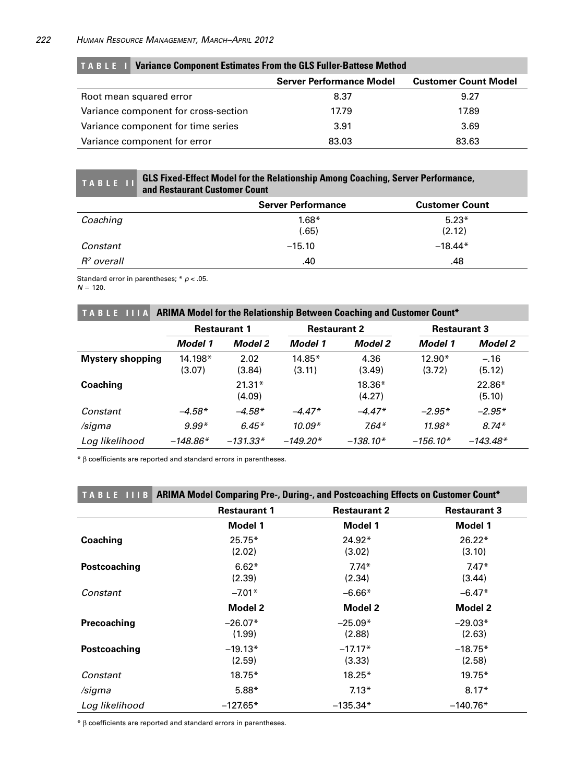|                                      | <b>Server Performance Model</b> | <b>Customer Count Model</b> |  |
|--------------------------------------|---------------------------------|-----------------------------|--|
| Root mean squared error              | 8.37                            | 9.27                        |  |
| Variance component for cross-section | 17.79                           | 17.89                       |  |
| Variance component for time series   | 3.91                            | 3.69                        |  |
| Variance component for error         | 83.03                           | 83.63                       |  |

| TABLE II | <b>GLS Fixed-Effect Model for the Relationship Among Coaching, Server Performance,</b> |
|----------|----------------------------------------------------------------------------------------|
|          | and Restaurant Customer Count                                                          |

|               | <b>Server Performance</b> | <b>Customer Count</b> |
|---------------|---------------------------|-----------------------|
| Coaching      | $1.68*$                   | $5.23*$               |
|               | (.65)                     | (2.12)                |
| Constant      | $-15.10$                  | $-18.44*$             |
| $R^2$ overall | .40                       | .48                   |

Standard error in parentheses;  $* p < .05$ .  $N = 120$ .

|  |  | TABLE IIIA ARIMA Model for the Relationship Between Coaching and Customer Count* |
|--|--|----------------------------------------------------------------------------------|
|--|--|----------------------------------------------------------------------------------|

|                         |                   | <b>Restaurant 1</b> |                    | <b>Restaurant 2</b> | <b>Restaurant 3</b> |                    |
|-------------------------|-------------------|---------------------|--------------------|---------------------|---------------------|--------------------|
|                         | Model 1           | Model 2             | Model 1            | Model 2             | Model 1             | Model 2            |
| <b>Mystery shopping</b> | 14.198*<br>(3.07) | 2.02<br>(3.84)      | $14.85*$<br>(3.11) | 4.36<br>(3.49)      | $12.90*$<br>(3.72)  | $-.16$<br>(5.12)   |
| Coaching                |                   | $21.31*$<br>(4.09)  |                    | $18.36*$<br>(4.27)  |                     | $22.86*$<br>(5.10) |
| Constant                | $-4.58*$          | $-4.58*$            | $-4.47*$           | $-4.47*$            | $-2.95*$            | $-2.95*$           |
| /sigma                  | $9.99*$           | $6.45*$             | $10.09*$           | $7.64*$             | $11.98*$            | $8.74*$            |
| Log likelihood          | $-148.86*$        | $-131.33*$          | $-149.20*$         | $-138.10*$          | $-156.10*$          | $-143.48*$         |

 $*$  β coefficients are reported and standard errors in parentheses.

|                |                     | TABLE IIIB ARIMA Model Comparing Pre-, During-, and Postcoaching Effects on Customer Count* |                     |  |  |
|----------------|---------------------|---------------------------------------------------------------------------------------------|---------------------|--|--|
|                | <b>Restaurant 1</b> | <b>Restaurant 2</b>                                                                         | <b>Restaurant 3</b> |  |  |
|                | Model 1             | Model 1                                                                                     | Model 1             |  |  |
| Coaching       | $25.75*$<br>(2.02)  | 24.92*<br>(3.02)                                                                            | $26.22*$<br>(3.10)  |  |  |
| Postcoaching   | $6.62*$<br>(2.39)   | $7.74*$<br>(2.34)                                                                           | $7.47*$<br>(3.44)   |  |  |
| Constant       | $-7.01*$            | $-6.66*$                                                                                    | $-6.47*$            |  |  |
|                | Model 2             | Model 2                                                                                     | Model 2             |  |  |
| Precoaching    | $-26.07*$<br>(1.99) | $-25.09*$<br>(2.88)                                                                         | $-29.03*$<br>(2.63) |  |  |
| Postcoaching   | $-19.13*$<br>(2.59) | $-17.17*$<br>(3.33)                                                                         | $-18.75*$<br>(2.58) |  |  |
| Constant       | 18.75*              | $18.25*$                                                                                    | $19.75*$            |  |  |
| /sigma         | $5.88*$             | $7.13*$                                                                                     | $8.17*$             |  |  |
| Log likelihood | $-127.65*$          | $-135.34*$                                                                                  | $-140.76*$          |  |  |

 $*$  β coefficients are reported and standard errors in parentheses.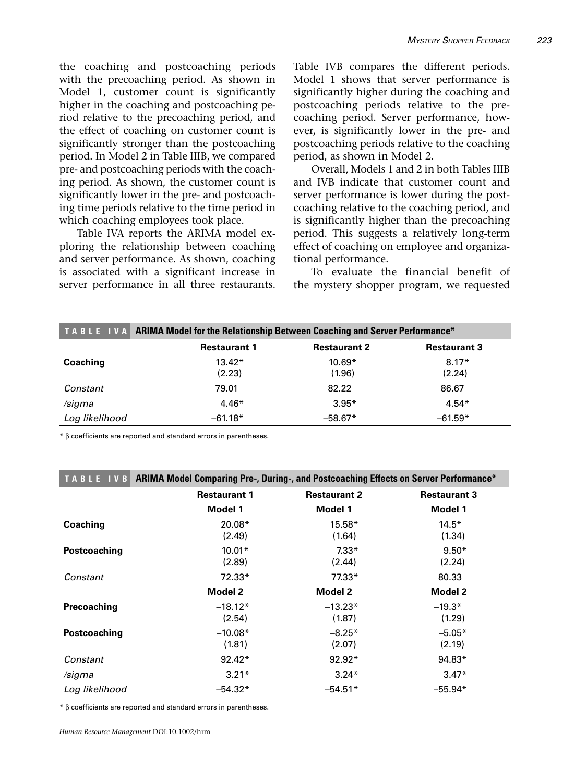the coaching and postcoaching periods with the precoaching period. As shown in Model 1, customer count is significantly higher in the coaching and postcoaching period relative to the precoaching period, and the effect of coaching on customer count is significantly stronger than the postcoaching period. In Model 2 in Table IIIB, we compared pre- and postcoaching periods with the coaching period. As shown, the customer count is significantly lower in the pre- and postcoaching time periods relative to the time period in which coaching employees took place.

Table IVA reports the ARIMA model exploring the relationship between coaching and server performance. As shown, coaching is associated with a significant increase in server performance in all three restaurants.

Table IVB compares the different periods. Model 1 shows that server performance is significantly higher during the coaching and postcoaching periods relative to the precoaching period. Server performance, however, is significantly lower in the pre- and postcoaching periods relative to the coaching period, as shown in Model 2.

Overall, Models 1 and 2 in both Tables IIIB and IVB indicate that customer count and server performance is lower during the postcoaching relative to the coaching period, and is significantly higher than the precoaching period. This suggests a relatively long-term effect of coaching on employee and organizational performance.

To evaluate the financial benefit of the mystery shopper program, we requested

| TABLE IVAL     | ARIMA Model for the Relationship Between Coaching and Server Performance* |                     |                     |  |  |
|----------------|---------------------------------------------------------------------------|---------------------|---------------------|--|--|
|                | <b>Restaurant 1</b>                                                       | <b>Restaurant 2</b> | <b>Restaurant 3</b> |  |  |
| Coaching       | $13.42*$<br>(2.23)                                                        | $10.69*$<br>(1.96)  | $8.17*$<br>(2.24)   |  |  |
| Constant       | 79.01                                                                     | 82.22               | 86.67               |  |  |
| /sigma         | $4.46*$                                                                   | $3.95*$             | $4.54*$             |  |  |
| Log likelihood | $-61.18*$                                                                 | $-58.67*$           | $-61.59*$           |  |  |

\* β coeffi cients are reported and standard errors in parentheses.

|                | TABLE IVB ARIMA Model Comparing Pre-, During-, and Postcoaching Effects on Server Performance* |                     |                     |  |
|----------------|------------------------------------------------------------------------------------------------|---------------------|---------------------|--|
|                | <b>Restaurant 1</b>                                                                            | <b>Restaurant 2</b> | <b>Restaurant 3</b> |  |
|                | Model 1                                                                                        | Model 1             | Model 1             |  |
| Coaching       | $20.08*$<br>(2.49)                                                                             | $15.58*$<br>(1.64)  | $14.5*$<br>(1.34)   |  |
| Postcoaching   | $10.01*$<br>(2.89)                                                                             | $7.33*$<br>(2.44)   | $9.50*$<br>(2.24)   |  |
| Constant       | $72.33*$                                                                                       | 77.33*              | 80.33               |  |
|                | Model 2                                                                                        | Model 2             | Model 2             |  |
| Precoaching    | $-18.12*$<br>(2.54)                                                                            | $-13.23*$<br>(1.87) | $-19.3*$<br>(1.29)  |  |
| Postcoaching   | $-10.08*$<br>(1.81)                                                                            | $-8.25*$<br>(2.07)  | $-5.05*$<br>(2.19)  |  |
| Constant       | $92.42*$                                                                                       | $92.92*$            | 94.83*              |  |
| /sigma         | $3.21*$                                                                                        | $3.24*$             | $3.47*$             |  |
| Log likelihood | $-54.32*$                                                                                      | $-54.51*$           | $-55.94*$           |  |

\* β coeffi cients are reported and standard errors in parentheses.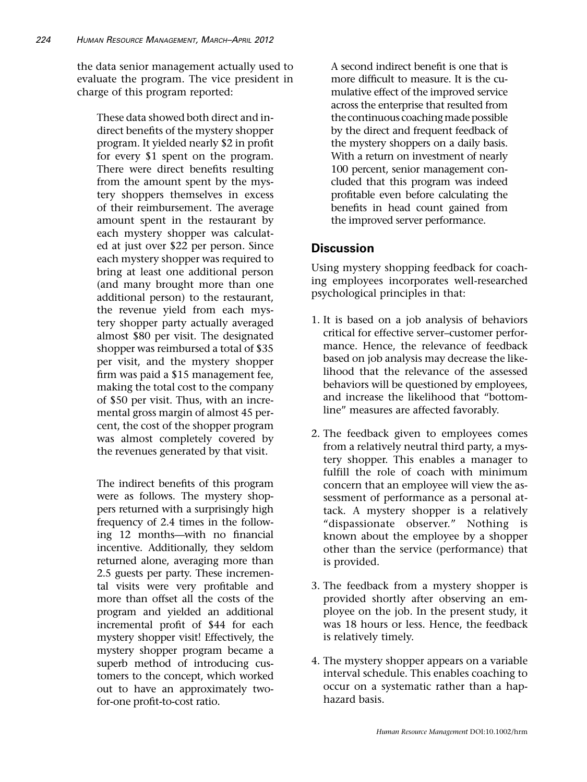the data senior management actually used to evaluate the program. The vice president in charge of this program reported:

These data showed both direct and indirect benefits of the mystery shopper program. It yielded nearly \$2 in profit for every \$1 spent on the program. There were direct benefits resulting from the amount spent by the mystery shoppers themselves in excess of their reimbursement. The average amount spent in the restaurant by each mystery shopper was calculated at just over \$22 per person. Since each mystery shopper was required to bring at least one additional person (and many brought more than one additional person) to the restaurant, the revenue yield from each mystery shopper party actually averaged almost \$80 per visit. The designated shopper was reimbursed a total of \$35 per visit, and the mystery shopper firm was paid a \$15 management fee, making the total cost to the company of \$50 per visit. Thus, with an incremental gross margin of almost 45 percent, the cost of the shopper program was almost completely covered by the revenues generated by that visit.

The indirect benefits of this program were as follows. The mystery shoppers returned with a surprisingly high frequency of 2.4 times in the following 12 months—with no financial incentive. Additionally, they seldom returned alone, averaging more than 2.5 guests per party. These incremental visits were very profitable and more than offset all the costs of the program and yielded an additional incremental profit of \$44 for each mystery shopper visit! Effectively, the mystery shopper program became a superb method of introducing customers to the concept, which worked out to have an approximately twofor-one profit-to-cost ratio.

A second indirect benefit is one that is more difficult to measure. It is the cumulative effect of the improved service across the enterprise that resulted from the continuous coaching made possible by the direct and frequent feedback of the mystery shoppers on a daily basis. With a return on investment of nearly 100 percent, senior management concluded that this program was indeed profitable even before calculating the benefits in head count gained from the improved server performance.

# **Discussion**

Using mystery shopping feedback for coaching employees incorporates well-researched psychological principles in that:

- 1. It is based on a job analysis of behaviors critical for effective server–customer performance. Hence, the relevance of feedback based on job analysis may decrease the likelihood that the relevance of the assessed behaviors will be questioned by employees, and increase the likelihood that "bottomline" measures are affected favorably.
- 2. The feedback given to employees comes from a relatively neutral third party, a mystery shopper. This enables a manager to fulfill the role of coach with minimum concern that an employee will view the assessment of performance as a personal attack. A mystery shopper is a relatively "dispassionate observer." Nothing is known about the employee by a shopper other than the service (performance) that is provided.
- 3. The feedback from a mystery shopper is provided shortly after observing an employee on the job. In the present study, it was 18 hours or less. Hence, the feedback is relatively timely.
- 4. The mystery shopper appears on a variable interval schedule. This enables coaching to occur on a systematic rather than a haphazard basis.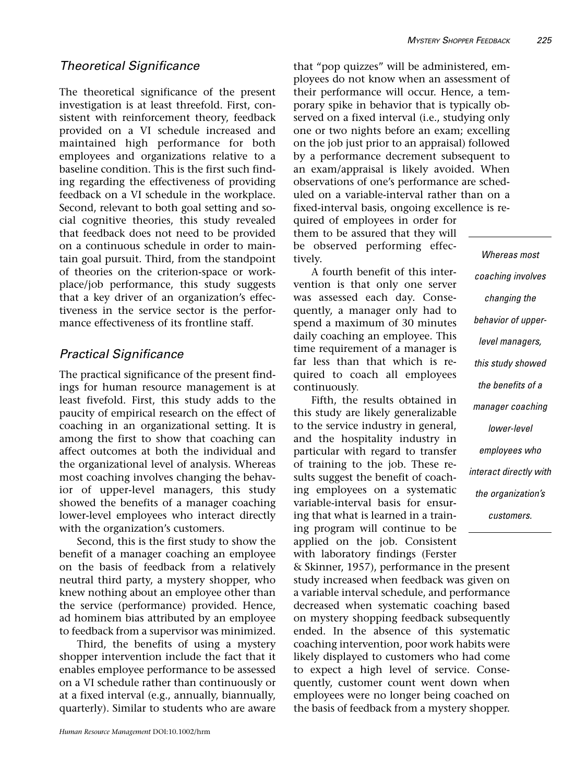# **Theoretical Significance**

The theoretical significance of the present investigation is at least threefold. First, consistent with reinforcement theory, feedback provided on a VI schedule increased and maintained high performance for both employees and organizations relative to a baseline condition. This is the first such finding regarding the effectiveness of providing feedback on a VI schedule in the workplace. Second, relevant to both goal setting and social cognitive theories, this study revealed that feedback does not need to be provided on a continuous schedule in order to maintain goal pursuit. Third, from the standpoint of theories on the criterion-space or workplace/job performance, this study suggests that a key driver of an organization's effectiveness in the service sector is the performance effectiveness of its frontline staff.

# **Practical Significance**

The practical significance of the present findings for human resource management is at least fivefold. First, this study adds to the paucity of empirical research on the effect of coaching in an organizational setting. It is among the first to show that coaching can affect outcomes at both the individual and the organizational level of analysis. Whereas most coaching involves changing the behavior of upper-level managers, this study showed the benefits of a manager coaching lower-level employees who interact directly with the organization's customers.

Second, this is the first study to show the benefit of a manager coaching an employee on the basis of feedback from a relatively neutral third party, a mystery shopper, who knew nothing about an employee other than the service (performance) provided. Hence, ad hominem bias attributed by an employee to feedback from a supervisor was minimized.

Third, the benefits of using a mystery shopper intervention include the fact that it enables employee performance to be assessed on a VI schedule rather than continuously or at a fixed interval (e.g., annually, biannually, quarterly). Similar to students who are aware

*Human Resource Management* DOI:10.1002/hrm

that "pop quizzes" will be administered, employees do not know when an assessment of their performance will occur. Hence, a temporary spike in behavior that is typically observed on a fixed interval (i.e., studying only one or two nights before an exam; excelling on the job just prior to an appraisal) followed by a performance decrement subsequent to an exam/appraisal is likely avoided. When observations of one's performance are scheduled on a variable-interval rather than on a fixed-interval basis, ongoing excellence is required of employees in order for

them to be assured that they will be observed performing effectively.

A fourth benefit of this intervention is that only one server was assessed each day. Consequently, a manager only had to spend a maximum of 30 minutes daily coaching an employee. This time requirement of a manager is far less than that which is required to coach all employees continuously.

Fifth, the results obtained in this study are likely generalizable to the service industry in general, and the hospitality industry in particular with regard to transfer of training to the job. These results suggest the benefit of coaching employees on a systematic variable-interval basis for ensuring that what is learned in a training program will continue to be applied on the job. Consistent with laboratory findings (Ferster

& Skinner, 1957), performance in the present study increased when feedback was given on a variable interval schedule, and performance decreased when systematic coaching based on mystery shopping feedback subsequently ended. In the absence of this systematic coaching intervention, poor work habits were likely displayed to customers who had come to expect a high level of service. Consequently, customer count went down when employees were no longer being coached on the basis of feedback from a mystery shopper.

Whereas most coaching involves changing the behavior of upperlevel managers, this study showed the benefits of a manager coaching lower-level employees who interact directly with the organization's customers.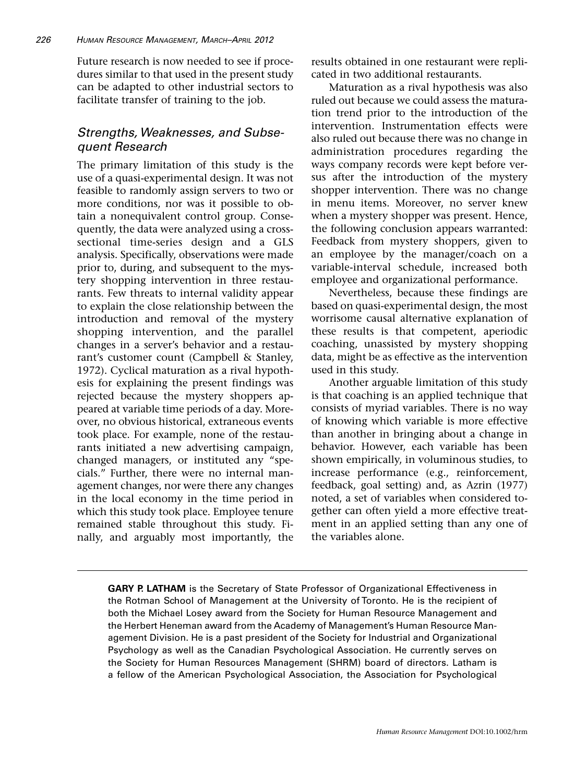Future research is now needed to see if procedures similar to that used in the present study can be adapted to other industrial sectors to facilitate transfer of training to the job.

## Strengths, Weaknesses, and Subsequent Research

The primary limitation of this study is the use of a quasi-experimental design. It was not feasible to randomly assign servers to two or more conditions, nor was it possible to obtain a nonequivalent control group. Consequently, the data were analyzed using a crosssectional time-series design and a GLS analysis. Specifically, observations were made prior to, during, and subsequent to the mystery shopping intervention in three restaurants. Few threats to internal validity appear to explain the close relationship between the introduction and removal of the mystery shopping intervention, and the parallel changes in a server's behavior and a restaurant's customer count (Campbell & Stanley, 1972). Cyclical maturation as a rival hypothesis for explaining the present findings was rejected because the mystery shoppers appeared at variable time periods of a day. Moreover, no obvious historical, extraneous events took place. For example, none of the restaurants initiated a new advertising campaign, changed managers, or instituted any "specials." Further, there were no internal management changes, nor were there any changes in the local economy in the time period in which this study took place. Employee tenure remained stable throughout this study. Finally, and arguably most importantly, the

results obtained in one restaurant were replicated in two additional restaurants.

Maturation as a rival hypothesis was also ruled out because we could assess the maturation trend prior to the introduction of the intervention. Instrumentation effects were also ruled out because there was no change in administration procedures regarding the ways company records were kept before versus after the introduction of the mystery shopper intervention. There was no change in menu items. Moreover, no server knew when a mystery shopper was present. Hence, the following conclusion appears warranted: Feedback from mystery shoppers, given to an employee by the manager/coach on a variable-interval schedule, increased both employee and organizational performance.

Nevertheless, because these findings are based on quasi-experimental design, the most worrisome causal alternative explanation of these results is that competent, aperiodic coaching, unassisted by mystery shopping data, might be as effective as the intervention used in this study.

Another arguable limitation of this study is that coaching is an applied technique that consists of myriad variables. There is no way of knowing which variable is more effective than another in bringing about a change in behavior. However, each variable has been shown empirically, in voluminous studies, to increase performance (e.g., reinforcement, feedback, goal setting) and, as Azrin (1977) noted, a set of variables when considered together can often yield a more effective treatment in an applied setting than any one of the variables alone.

**GARY P. LATHAM** is the Secretary of State Professor of Organizational Effectiveness in the Rotman School of Management at the University of Toronto. He is the recipient of both the Michael Losey award from the Society for Human Resource Management and the Herbert Heneman award from the Academy of Management's Human Resource Management Division. He is a past president of the Society for Industrial and Organizational Psychology as well as the Canadian Psychological Association. He currently serves on the Society for Human Resources Management (SHRM) board of directors. Latham is a fellow of the American Psychological Association, the Association for Psychological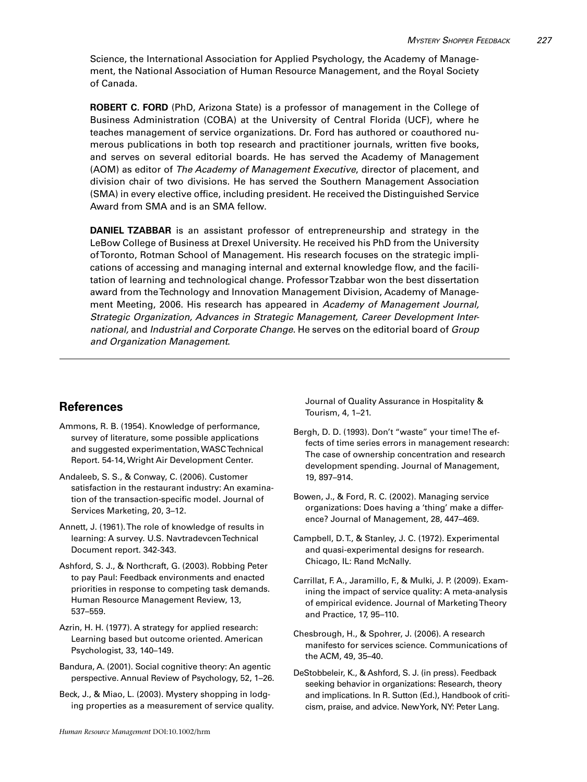Science, the International Association for Applied Psychology, the Academy of Management, the National Association of Human Resource Management, and the Royal Society of Canada.

**ROBERT C. FORD** (PhD, Arizona State) is a professor of management in the College of Business Administration (COBA) at the University of Central Florida (UCF), where he teaches management of service organizations. Dr. Ford has authored or coauthored numerous publications in both top research and practitioner journals, written five books, and serves on several editorial boards. He has served the Academy of Management (AOM) as editor of The Academy of Management Executive, director of placement, and division chair of two divisions. He has served the Southern Management Association (SMA) in every elective office, including president. He received the Distinguished Service Award from SMA and is an SMA fellow.

**DANIEL TZABBAR** is an assistant professor of entrepreneurship and strategy in the LeBow College of Business at Drexel University. He received his PhD from the University of Toronto, Rotman School of Management. His research focuses on the strategic implications of accessing and managing internal and external knowledge flow, and the facilitation of learning and technological change. Professor Tzabbar won the best dissertation award from the Technology and Innovation Management Division, Academy of Management Meeting, 2006. His research has appeared in Academy of Management Journal, Strategic Organization, Advances in Strategic Management, Career Development International, and Industrial and Corporate Change. He serves on the editorial board of Group and Organization Management.

# **References**

- Ammons, R. B. (1954). Knowledge of performance, survey of literature, some possible applications and suggested experimentation, WASC Technical Report. 54-14, Wright Air Development Center.
- Andaleeb, S. S., & Conway, C. (2006). Customer satisfaction in the restaurant industry: An examination of the transaction-specific model. Journal of Services Marketing, 20, 3–12.
- Annett, J. (1961). The role of knowledge of results in learning: A survey. U.S. Navtradevcen Technical Document report. 342-343.
- Ashford, S. J., & Northcraft, G. (2003). Robbing Peter to pay Paul: Feedback environments and enacted priorities in response to competing task demands. Human Resource Management Review, 13, 537–559.

Azrin, H. H. (1977). A strategy for applied research: Learning based but outcome oriented. American Psychologist, 33, 140–149.

- Bandura, A. (2001). Social cognitive theory: An agentic perspective. Annual Review of Psychology, 52, 1–26.
- Beck, J., & Miao, L. (2003). Mystery shopping in lodging properties as a measurement of service quality.

*Human Resource Management* DOI:10.1002/hrm

Journal of Quality Assurance in Hospitality & Tourism, 4, 1–21.

- Bergh, D. D. (1993). Don't "waste" your time! The effects of time series errors in management research: The case of ownership concentration and research development spending. Journal of Management, 19, 897–914.
- Bowen, J., & Ford, R. C. (2002). Managing service organizations: Does having a 'thing' make a difference? Journal of Management, 28, 447–469.

Campbell, D. T., & Stanley, J. C. (1972). Experimental and quasi-experimental designs for research. Chicago, IL: Rand McNally.

- Carrillat, F. A., Jaramillo, F., & Mulki, J. P. (2009). Examining the impact of service quality: A meta-analysis of empirical evidence. Journal of Marketing Theory and Practice, 17, 95–110.
- Chesbrough, H., & Spohrer, J. (2006). A research manifesto for services science. Communications of the ACM, 49, 35–40.
- DeStobbeleir, K., & Ashford, S. J. (in press). Feedback seeking behavior in organizations: Research, theory and implications. In R. Sutton (Ed.), Handbook of criticism, praise, and advice. New York, NY: Peter Lang.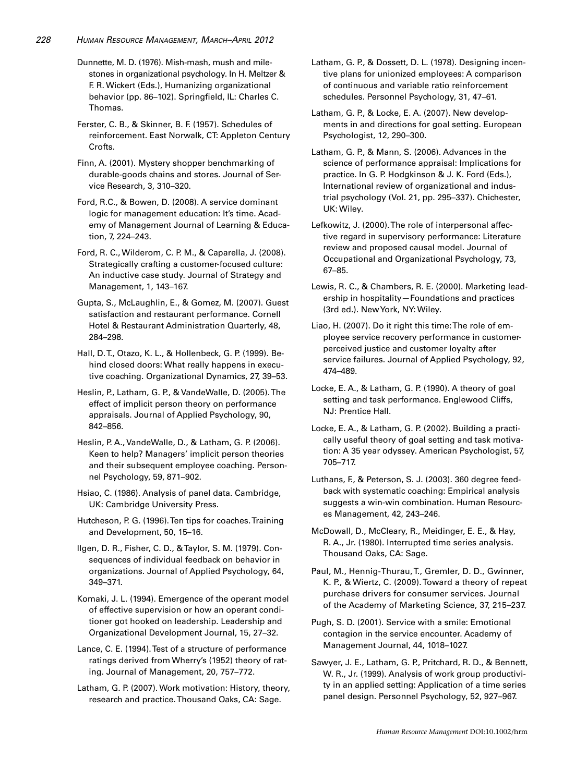228 HUMAN RESOURCE MANAGEMENT, MARCH–APRIL 2012

Dunnette, M. D. (1976). Mish-mash, mush and milestones in organizational psychology. In H. Meltzer & F. R. Wickert (Eds.), Humanizing organizational behavior (pp. 86-102). Springfield, IL: Charles C. Thomas.

Ferster, C. B., & Skinner, B. F. (1957). Schedules of reinforcement. East Norwalk, CT: Appleton Century Crofts.

Finn, A. (2001). Mystery shopper benchmarking of durable-goods chains and stores. Journal of Service Research, 3, 310–320.

Ford, R.C., & Bowen, D. (2008). A service dominant logic for management education: It's time. Academy of Management Journal of Learning & Education, 7, 224–243.

Ford, R. C., Wilderom, C. P. M., & Caparella, J. (2008). Strategically crafting a customer-focused culture: An inductive case study. Journal of Strategy and Management, 1, 143–167.

Gupta, S., McLaughlin, E., & Gomez, M. (2007). Guest satisfaction and restaurant performance. Cornell Hotel & Restaurant Administration Quarterly, 48, 284–298.

Hall, D. T., Otazo, K. L., & Hollenbeck, G. P. (1999). Behind closed doors: What really happens in executive coaching. Organizational Dynamics, 27, 39–53.

Heslin, P., Latham, G. P., & VandeWalle, D. (2005). The effect of implicit person theory on performance appraisals. Journal of Applied Psychology, 90, 842–856.

Heslin, P. A., VandeWalle, D., & Latham, G. P. (2006). Keen to help? Managers' implicit person theories and their subsequent employee coaching. Personnel Psychology, 59, 871–902.

Hsiao, C. (1986). Analysis of panel data. Cambridge, UK: Cambridge University Press.

Hutcheson, P. G. (1996). Ten tips for coaches. Training and Development, 50, 15–16.

Ilgen, D. R., Fisher, C. D., & Taylor, S. M. (1979). Consequences of individual feedback on behavior in organizations. Journal of Applied Psychology, 64, 349–371.

Komaki, J. L. (1994). Emergence of the operant model of effective supervision or how an operant conditioner got hooked on leadership. Leadership and Organizational Development Journal, 15, 27–32.

Lance, C. E. (1994). Test of a structure of performance ratings derived from Wherry's (1952) theory of rating. Journal of Management, 20, 757–772.

Latham, G. P. (2007). Work motivation: History, theory, research and practice. Thousand Oaks, CA: Sage.

Latham, G. P., & Dossett, D. L. (1978). Designing incentive plans for unionized employees: A comparison of continuous and variable ratio reinforcement schedules. Personnel Psychology, 31, 47–61.

Latham, G. P., & Locke, E. A. (2007). New developments in and directions for goal setting. European Psychologist, 12, 290–300.

Latham, G. P., & Mann, S. (2006). Advances in the science of performance appraisal: Implications for practice. In G. P. Hodgkinson & J. K. Ford (Eds.), International review of organizational and industrial psychology (Vol. 21, pp. 295–337). Chichester, UK: Wiley.

Lefkowitz, J. (2000). The role of interpersonal affective regard in supervisory performance: Literature review and proposed causal model. Journal of Occupational and Organizational Psychology, 73, 67–85.

Lewis, R. C., & Chambers, R. E. (2000). Marketing leadership in hospitality—Foundations and practices (3rd ed.). New York, NY: Wiley.

Liao, H. (2007). Do it right this time: The role of employee service recovery performance in customerperceived justice and customer loyalty after service failures. Journal of Applied Psychology, 92, 474–489.

Locke, E. A., & Latham, G. P. (1990). A theory of goal setting and task performance. Englewood Cliffs, NJ: Prentice Hall.

Locke, E. A., & Latham, G. P. (2002). Building a practically useful theory of goal setting and task motivation: A 35 year odyssey. American Psychologist, 57, 705–717.

Luthans, F., & Peterson, S. J. (2003). 360 degree feedback with systematic coaching: Empirical analysis suggests a win-win combination. Human Resources Management, 42, 243–246.

McDowall, D., McCleary, R., Meidinger, E. E., & Hay, R. A., Jr. (1980). Interrupted time series analysis. Thousand Oaks, CA: Sage.

Paul, M., Hennig-Thurau, T., Gremler, D. D., Gwinner, K. P., & Wiertz, C. (2009). Toward a theory of repeat purchase drivers for consumer services. Journal of the Academy of Marketing Science, 37, 215–237.

Pugh, S. D. (2001). Service with a smile: Emotional contagion in the service encounter. Academy of Management Journal, 44, 1018–1027.

Sawyer, J. E., Latham, G. P., Pritchard, R. D., & Bennett, W. R., Jr. (1999). Analysis of work group productivity in an applied setting: Application of a time series panel design. Personnel Psychology, 52, 927–967.